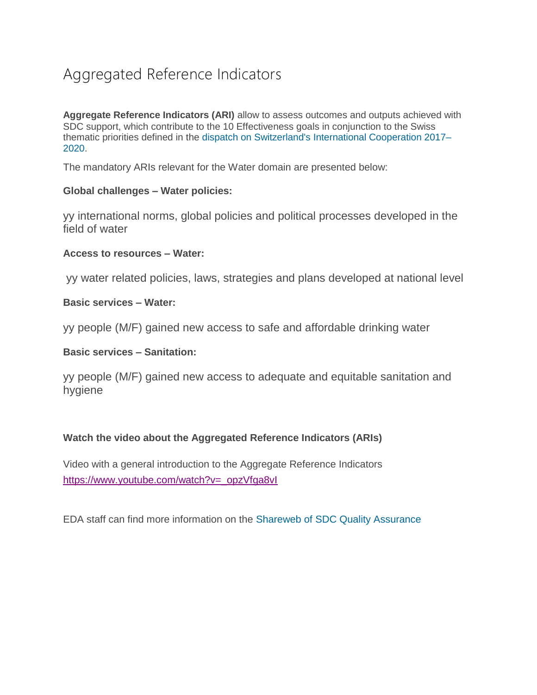# Aggregated Reference Indicators

**Aggregate Reference Indicators (ARI)** allow to assess outcomes and outputs achieved with SDC support, which contribute to the 10 Effectiveness goals in conjunction to the Swiss thematic priorities defined in the [dispatch on Switzerland's International Cooperation 2017–](https://www.eda.admin.ch/deza/en/home/deza/strategie/rechtsgrundlagen-gesetzeverordnungenundbotschaften/botschaft_zur_internationalenzusammenarbeitderschweiz.html) [2020.](https://www.eda.admin.ch/deza/en/home/deza/strategie/rechtsgrundlagen-gesetzeverordnungenundbotschaften/botschaft_zur_internationalenzusammenarbeitderschweiz.html)

The mandatory ARIs relevant for the Water domain are presented below:

#### **Global challenges – Water policies:**

yy international norms, global policies and political processes developed in the field of water

#### **Access to resources – Water:**

yy water related policies, laws, strategies and plans developed at national level

## **Basic services – Water:**

yy people (M/F) gained new access to safe and affordable drinking water

### **Basic services – Sanitation:**

yy people (M/F) gained new access to adequate and equitable sanitation and hygiene

# **Watch the video about the Aggregated Reference Indicators (ARIs)**

Video with a general introduction to the Aggregate Reference Indicators [https://www.youtube.com/watch?v=\\_opzVfga8vI](https://www.youtube.com/watch?v=_opzVfga8vI)

EDA staff can find more information on the [Shareweb of SDC Quality Assurance](https://www.shareweb.ch/site/qa/Pages/Support/Aggregated-Reference-Indicators.aspx)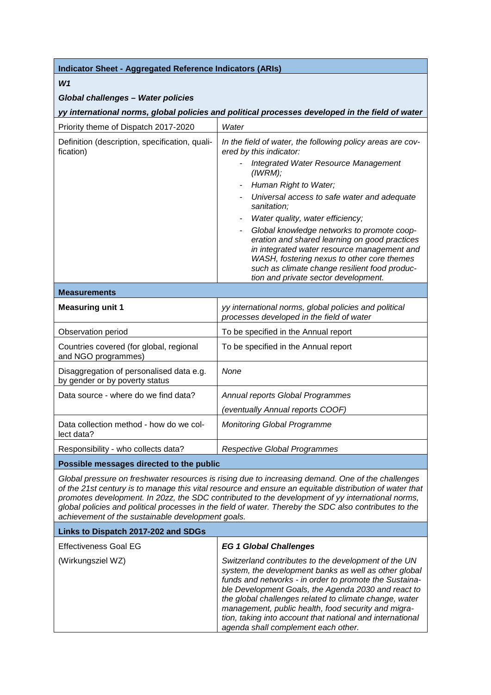# *W1*

#### *Global challenges – Water policies*

*yy international norms, global policies and political processes developed in the field of water*

| Priority theme of Dispatch 2017-2020                                       | Water                                                                                                                                                                                                                                                                             |
|----------------------------------------------------------------------------|-----------------------------------------------------------------------------------------------------------------------------------------------------------------------------------------------------------------------------------------------------------------------------------|
| Definition (description, specification, quali-<br>fication)                | In the field of water, the following policy areas are cov-<br>ered by this indicator:                                                                                                                                                                                             |
|                                                                            | <b>Integrated Water Resource Management</b><br>(IWRM);                                                                                                                                                                                                                            |
|                                                                            | Human Right to Water;                                                                                                                                                                                                                                                             |
|                                                                            | Universal access to safe water and adequate<br>sanitation;                                                                                                                                                                                                                        |
|                                                                            | Water quality, water efficiency;                                                                                                                                                                                                                                                  |
|                                                                            | Global knowledge networks to promote coop-<br>eration and shared learning on good practices<br>in integrated water resource management and<br>WASH, fostering nexus to other core themes<br>such as climate change resilient food produc-<br>tion and private sector development. |
| <b>Measurements</b>                                                        |                                                                                                                                                                                                                                                                                   |
| <b>Measuring unit 1</b>                                                    | yy international norms, global policies and political<br>processes developed in the field of water                                                                                                                                                                                |
| Observation period                                                         | To be specified in the Annual report                                                                                                                                                                                                                                              |
| Countries covered (for global, regional<br>and NGO programmes)             | To be specified in the Annual report                                                                                                                                                                                                                                              |
| Disaggregation of personalised data e.g.<br>by gender or by poverty status | None                                                                                                                                                                                                                                                                              |
| Data source - where do we find data?                                       | Annual reports Global Programmes                                                                                                                                                                                                                                                  |
|                                                                            | (eventually Annual reports COOF)                                                                                                                                                                                                                                                  |
| Data collection method - how do we col-<br>lect data?                      | <b>Monitoring Global Programme</b>                                                                                                                                                                                                                                                |
| Responsibility - who collects data?                                        | <b>Respective Global Programmes</b>                                                                                                                                                                                                                                               |
| Possible messages directed to the public                                   |                                                                                                                                                                                                                                                                                   |

*Global pressure on freshwater resources is rising due to increasing demand. One of the challenges of the 21st century is to manage this vital resource and ensure an equitable distribution of water that promotes development. In 20zz, the SDC contributed to the development of yy international norms, global policies and political processes in the field of water. Thereby the SDC also contributes to the achievement of the sustainable development goals.*

| Links to Dispatch 2017-202 and SDGs |                                                                                                                                                                                                                                                                                                                                                                                                                                                     |
|-------------------------------------|-----------------------------------------------------------------------------------------------------------------------------------------------------------------------------------------------------------------------------------------------------------------------------------------------------------------------------------------------------------------------------------------------------------------------------------------------------|
| <b>Effectiveness Goal EG</b>        | <b>EG 1 Global Challenges</b>                                                                                                                                                                                                                                                                                                                                                                                                                       |
| (Wirkungsziel WZ)                   | Switzerland contributes to the development of the UN<br>system, the development banks as well as other global<br>funds and networks - in order to promote the Sustaina-<br>ble Development Goals, the Agenda 2030 and react to<br>the global challenges related to climate change, water<br>management, public health, food security and migra-<br>tion, taking into account that national and international<br>agenda shall complement each other. |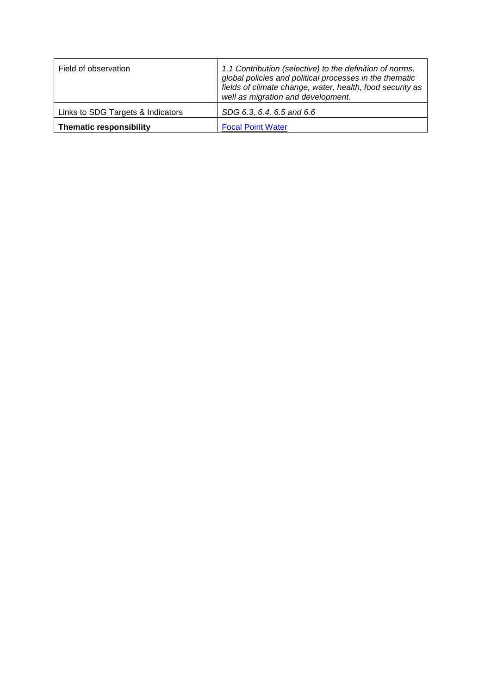| Field of observation              | 1.1 Contribution (selective) to the definition of norms,<br>global policies and political processes in the thematic<br>fields of climate change, water, health, food security as<br>well as migration and development. |
|-----------------------------------|------------------------------------------------------------------------------------------------------------------------------------------------------------------------------------------------------------------------|
| Links to SDG Targets & Indicators | SDG 6.3, 6.4, 6.5 and 6.6                                                                                                                                                                                              |
| <b>Thematic responsibility</b>    | <b>Focal Point Water</b>                                                                                                                                                                                               |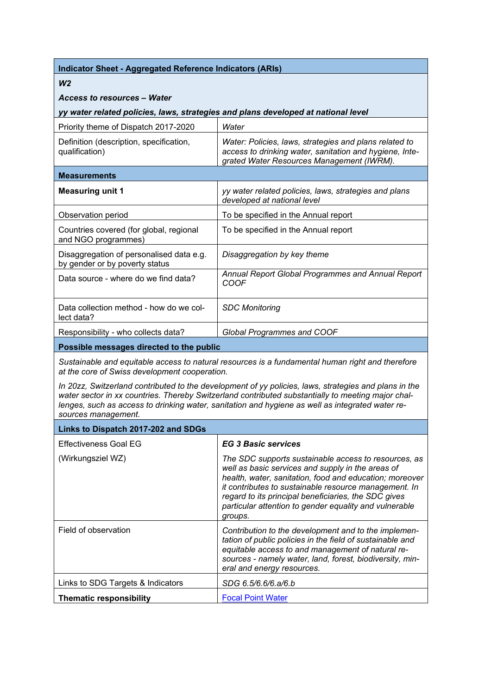## *W2*

### *Access to resources – Water*

#### *yy water related policies, laws, strategies and plans developed at national level*

| Priority theme of Dispatch 2017-2020                                       | Water                                                                                                                                                          |
|----------------------------------------------------------------------------|----------------------------------------------------------------------------------------------------------------------------------------------------------------|
| Definition (description, specification,<br>qualification)                  | Water: Policies, laws, strategies and plans related to<br>access to drinking water, sanitation and hygiene, Inte-<br>grated Water Resources Management (IWRM). |
| <b>Measurements</b>                                                        |                                                                                                                                                                |
| <b>Measuring unit 1</b>                                                    | yy water related policies, laws, strategies and plans<br>developed at national level                                                                           |
| Observation period                                                         | To be specified in the Annual report                                                                                                                           |
| Countries covered (for global, regional<br>and NGO programmes)             | To be specified in the Annual report                                                                                                                           |
| Disaggregation of personalised data e.g.<br>by gender or by poverty status | Disaggregation by key theme                                                                                                                                    |
| Data source - where do we find data?                                       | Annual Report Global Programmes and Annual Report<br>COOF                                                                                                      |
| Data collection method - how do we col-<br>lect data?                      | <b>SDC Monitoring</b>                                                                                                                                          |
| Responsibility - who collects data?                                        | <b>Global Programmes and COOF</b>                                                                                                                              |
| Possible messages directed to the public                                   |                                                                                                                                                                |

*Sustainable and equitable access to natural resources is a fundamental human right and therefore at the core of Swiss development cooperation.* 

*In 20zz, Switzerland contributed to the development of yy policies, laws, strategies and plans in the water sector in xx countries. Thereby Switzerland contributed substantially to meeting major challenges, such as access to drinking water, sanitation and hygiene as well as integrated water resources management.*

| Links to Dispatch 2017-202 and SDGs |                                                                                                                                                                                                                                                                                                                                                            |
|-------------------------------------|------------------------------------------------------------------------------------------------------------------------------------------------------------------------------------------------------------------------------------------------------------------------------------------------------------------------------------------------------------|
| <b>Effectiveness Goal EG</b>        | <b>EG 3 Basic services</b>                                                                                                                                                                                                                                                                                                                                 |
| (Wirkungsziel WZ)                   | The SDC supports sustainable access to resources, as<br>well as basic services and supply in the areas of<br>health, water, sanitation, food and education; moreover<br>it contributes to sustainable resource management. In<br>regard to its principal beneficiaries, the SDC gives<br>particular attention to gender equality and vulnerable<br>groups. |
| Field of observation                | Contribution to the development and to the implemen-<br>tation of public policies in the field of sustainable and<br>equitable access to and management of natural re-<br>sources - namely water, land, forest, biodiversity, min-<br>eral and energy resources.                                                                                           |
| Links to SDG Targets & Indicators   | SDG 6.5/6.6/6.a/6.b                                                                                                                                                                                                                                                                                                                                        |
| <b>Thematic responsibility</b>      | <b>Focal Point Water</b>                                                                                                                                                                                                                                                                                                                                   |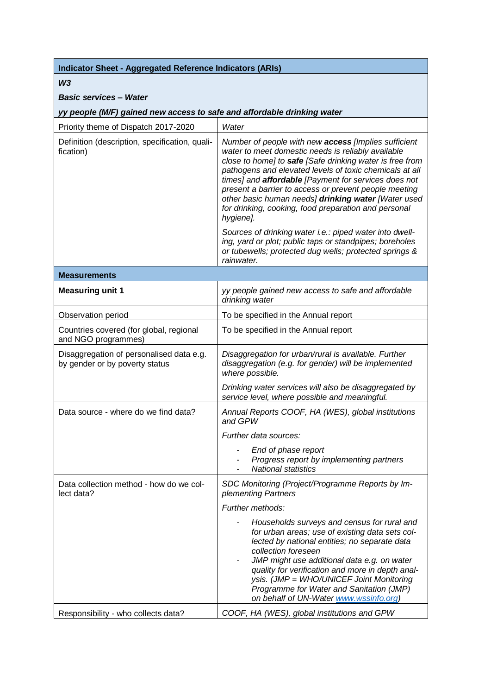#### *W3*

# *Basic services – Water*

*yy people (M/F) gained new access to safe and affordable drinking water*

| Priority theme of Dispatch 2017-2020                                       | Water                                                                                                                                                                                                                                                                                                                                                                                                                                                                          |
|----------------------------------------------------------------------------|--------------------------------------------------------------------------------------------------------------------------------------------------------------------------------------------------------------------------------------------------------------------------------------------------------------------------------------------------------------------------------------------------------------------------------------------------------------------------------|
| Definition (description, specification, quali-<br>fication)                | Number of people with new access [Implies sufficient<br>water to meet domestic needs is reliably available<br>close to home] to safe [Safe drinking water is free from<br>pathogens and elevated levels of toxic chemicals at all<br>times] and affordable [Payment for services does not<br>present a barrier to access or prevent people meeting<br>other basic human needs] drinking water [Water used<br>for drinking, cooking, food preparation and personal<br>hygiene]. |
|                                                                            | Sources of drinking water i.e.: piped water into dwell-<br>ing, yard or plot; public taps or standpipes; boreholes<br>or tubewells; protected dug wells; protected springs &<br>rainwater.                                                                                                                                                                                                                                                                                     |
| <b>Measurements</b>                                                        |                                                                                                                                                                                                                                                                                                                                                                                                                                                                                |
| <b>Measuring unit 1</b>                                                    | yy people gained new access to safe and affordable<br>drinking water                                                                                                                                                                                                                                                                                                                                                                                                           |
| Observation period                                                         | To be specified in the Annual report                                                                                                                                                                                                                                                                                                                                                                                                                                           |
| Countries covered (for global, regional<br>and NGO programmes)             | To be specified in the Annual report                                                                                                                                                                                                                                                                                                                                                                                                                                           |
| Disaggregation of personalised data e.g.<br>by gender or by poverty status | Disaggregation for urban/rural is available. Further<br>disaggregation (e.g. for gender) will be implemented<br>where possible.                                                                                                                                                                                                                                                                                                                                                |
|                                                                            | Drinking water services will also be disaggregated by<br>service level, where possible and meaningful.                                                                                                                                                                                                                                                                                                                                                                         |
| Data source - where do we find data?                                       | Annual Reports COOF, HA (WES), global institutions<br>and GPW                                                                                                                                                                                                                                                                                                                                                                                                                  |
|                                                                            | Further data sources:                                                                                                                                                                                                                                                                                                                                                                                                                                                          |
|                                                                            | End of phase report<br>Progress report by implementing partners<br><b>National statistics</b>                                                                                                                                                                                                                                                                                                                                                                                  |
| Data collection method - how do we col-<br>lect data?                      | SDC Monitoring (Project/Programme Reports by Im-<br>plementing Partners                                                                                                                                                                                                                                                                                                                                                                                                        |
|                                                                            | Further methods:                                                                                                                                                                                                                                                                                                                                                                                                                                                               |
|                                                                            | Households surveys and census for rural and<br>for urban areas; use of existing data sets col-<br>lected by national entities; no separate data<br>collection foreseen<br>JMP might use additional data e.g. on water<br>quality for verification and more in depth anal-<br>ysis. (JMP = WHO/UNICEF Joint Monitoring<br>Programme for Water and Sanitation (JMP)<br>on behalf of UN-Water www.wssinfo.org)                                                                    |
| Responsibility - who collects data?                                        | COOF, HA (WES), global institutions and GPW                                                                                                                                                                                                                                                                                                                                                                                                                                    |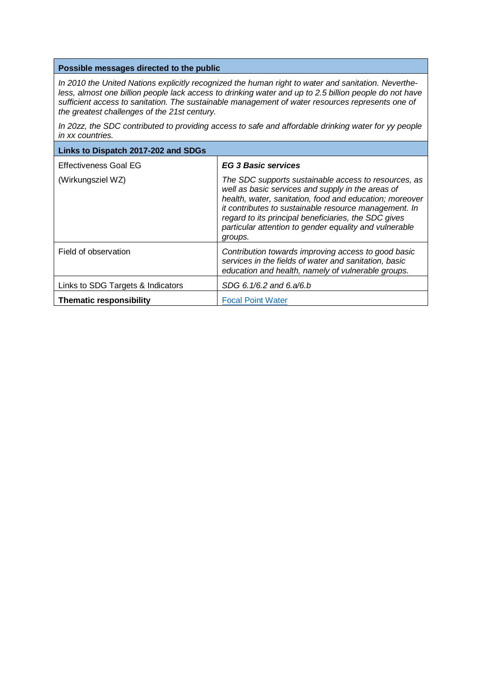#### **Possible messages directed to the public**

*In 2010 the United Nations explicitly recognized the human right to water and sanitation. Neverthe*less, almost one billion people lack access to drinking water and up to 2.5 billion people do not have *sufficient access to sanitation. The sustainable management of water resources represents one of the greatest challenges of the 21st century.*

*In 20zz, the SDC contributed to providing access to safe and affordable drinking water for yy people in xx countries.*

| Links to Dispatch 2017-202 and SDGs |                                                                                                                                                                                                                                                                                                                                                            |
|-------------------------------------|------------------------------------------------------------------------------------------------------------------------------------------------------------------------------------------------------------------------------------------------------------------------------------------------------------------------------------------------------------|
| <b>Effectiveness Goal EG</b>        | <b>EG 3 Basic services</b>                                                                                                                                                                                                                                                                                                                                 |
| (Wirkungsziel WZ)                   | The SDC supports sustainable access to resources, as<br>well as basic services and supply in the areas of<br>health, water, sanitation, food and education; moreover<br>it contributes to sustainable resource management. In<br>regard to its principal beneficiaries, the SDC gives<br>particular attention to gender equality and vulnerable<br>groups. |
| Field of observation                | Contribution towards improving access to good basic<br>services in the fields of water and sanitation, basic<br>education and health, namely of vulnerable groups.                                                                                                                                                                                         |
| Links to SDG Targets & Indicators   | SDG 6.1/6.2 and 6.a/6.b                                                                                                                                                                                                                                                                                                                                    |
| <b>Thematic responsibility</b>      | <b>Focal Point Water</b>                                                                                                                                                                                                                                                                                                                                   |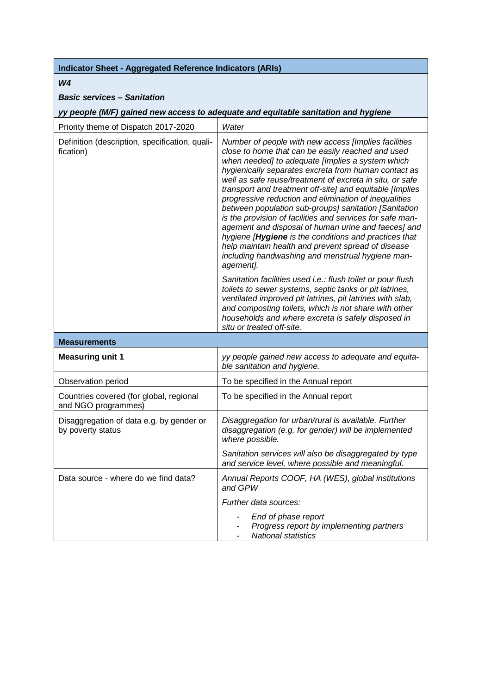#### *W4*

#### *Basic services – Sanitation*

*yy people (M/F) gained new access to adequate and equitable sanitation and hygiene*

| Priority theme of Dispatch 2017-2020                           | Water                                                                                                                                                                                                                                                                                                                                                                                                                                                                                                                                                                                                                                                                                                                                                               |
|----------------------------------------------------------------|---------------------------------------------------------------------------------------------------------------------------------------------------------------------------------------------------------------------------------------------------------------------------------------------------------------------------------------------------------------------------------------------------------------------------------------------------------------------------------------------------------------------------------------------------------------------------------------------------------------------------------------------------------------------------------------------------------------------------------------------------------------------|
| Definition (description, specification, quali-<br>fication)    | Number of people with new access [Implies facilities<br>close to home that can be easily reached and used<br>when needed] to adequate [Implies a system which<br>hygienically separates excreta from human contact as<br>well as safe reuse/treatment of excreta in situ, or safe<br>transport and treatment off-site] and equitable [Implies<br>progressive reduction and elimination of inequalities<br>between population sub-groups] sanitation [Sanitation<br>is the provision of facilities and services for safe man-<br>agement and disposal of human urine and faeces] and<br>hygiene [Hygiene is the conditions and practices that<br>help maintain health and prevent spread of disease<br>including handwashing and menstrual hygiene man-<br>agement]. |
|                                                                | Sanitation facilities used i.e.: flush toilet or pour flush<br>toilets to sewer systems, septic tanks or pit latrines,<br>ventilated improved pit latrines, pit latrines with slab,<br>and composting toilets, which is not share with other<br>households and where excreta is safely disposed in<br>situ or treated off-site.                                                                                                                                                                                                                                                                                                                                                                                                                                     |
|                                                                |                                                                                                                                                                                                                                                                                                                                                                                                                                                                                                                                                                                                                                                                                                                                                                     |
| <b>Measurements</b>                                            |                                                                                                                                                                                                                                                                                                                                                                                                                                                                                                                                                                                                                                                                                                                                                                     |
| <b>Measuring unit 1</b>                                        | yy people gained new access to adequate and equita-<br>ble sanitation and hygiene.                                                                                                                                                                                                                                                                                                                                                                                                                                                                                                                                                                                                                                                                                  |
| Observation period                                             | To be specified in the Annual report                                                                                                                                                                                                                                                                                                                                                                                                                                                                                                                                                                                                                                                                                                                                |
| Countries covered (for global, regional<br>and NGO programmes) | To be specified in the Annual report                                                                                                                                                                                                                                                                                                                                                                                                                                                                                                                                                                                                                                                                                                                                |
| Disaggregation of data e.g. by gender or<br>by poverty status  | Disaggregation for urban/rural is available. Further<br>disaggregation (e.g. for gender) will be implemented<br>where possible.                                                                                                                                                                                                                                                                                                                                                                                                                                                                                                                                                                                                                                     |
|                                                                | Sanitation services will also be disaggregated by type<br>and service level, where possible and meaningful.                                                                                                                                                                                                                                                                                                                                                                                                                                                                                                                                                                                                                                                         |
| Data source - where do we find data?                           | Annual Reports COOF, HA (WES), global institutions<br>and GPW                                                                                                                                                                                                                                                                                                                                                                                                                                                                                                                                                                                                                                                                                                       |
|                                                                | Further data sources:                                                                                                                                                                                                                                                                                                                                                                                                                                                                                                                                                                                                                                                                                                                                               |